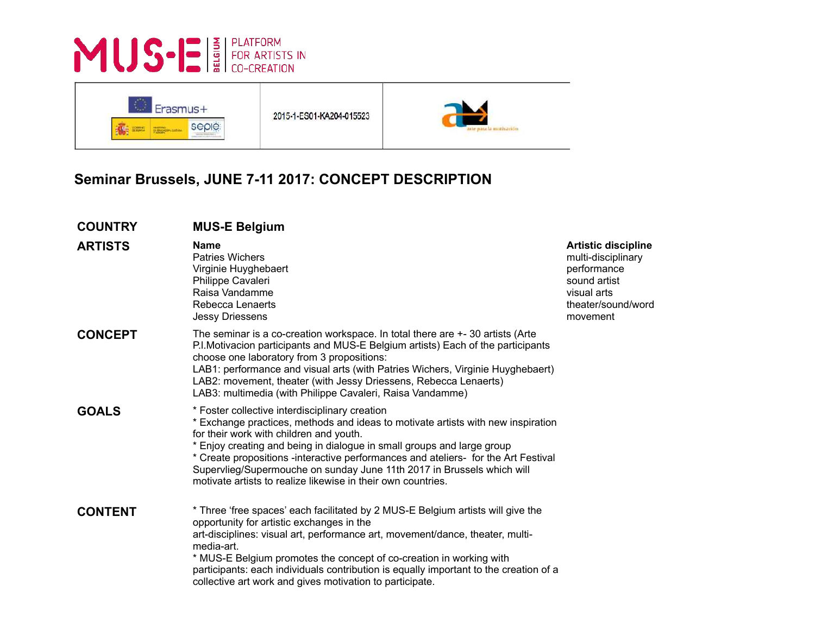



# **Seminar Brussels, JUNE 7-11 2017: CONCEPT DESCRIPTION**

| <b>COUNTRY</b> | <b>MUS-E Belgium</b>                                                                                                                                                                                                                                                                                                                                                                                                                                                                    |                                                                                                                                  |
|----------------|-----------------------------------------------------------------------------------------------------------------------------------------------------------------------------------------------------------------------------------------------------------------------------------------------------------------------------------------------------------------------------------------------------------------------------------------------------------------------------------------|----------------------------------------------------------------------------------------------------------------------------------|
| ARTISTS        | <b>Name</b><br><b>Patries Wichers</b><br>Virginie Huyghebaert<br>Philippe Cavaleri<br>Raisa Vandamme<br>Rebecca Lenaerts<br><b>Jessy Driessens</b>                                                                                                                                                                                                                                                                                                                                      | <b>Artistic discipline</b><br>multi-disciplinary<br>performance<br>sound artist<br>visual arts<br>theater/sound/word<br>movement |
| <b>CONCEPT</b> | The seminar is a co-creation workspace. In total there are $+$ -30 artists (Arte<br>P.I. Motivacion participants and MUS-E Belgium artists) Each of the participants<br>choose one laboratory from 3 propositions:<br>LAB1: performance and visual arts (with Patries Wichers, Virginie Huyghebaert)<br>LAB2: movement, theater (with Jessy Driessens, Rebecca Lenaerts)<br>LAB3: multimedia (with Philippe Cavaleri, Raisa Vandamme)                                                   |                                                                                                                                  |
| <b>GOALS</b>   | * Foster collective interdisciplinary creation<br>* Exchange practices, methods and ideas to motivate artists with new inspiration<br>for their work with children and youth.<br>* Enjoy creating and being in dialogue in small groups and large group<br>* Create propositions -interactive performances and ateliers- for the Art Festival<br>Supervlieg/Supermouche on sunday June 11th 2017 in Brussels which will<br>motivate artists to realize likewise in their own countries. |                                                                                                                                  |
| <b>CONTENT</b> | * Three 'free spaces' each facilitated by 2 MUS-E Belgium artists will give the<br>opportunity for artistic exchanges in the<br>art-disciplines: visual art, performance art, movement/dance, theater, multi-<br>media-art.<br>* MUS-E Belgium promotes the concept of co-creation in working with<br>participants: each individuals contribution is equally important to the creation of a<br>collective art work and gives motivation to participate.                                 |                                                                                                                                  |